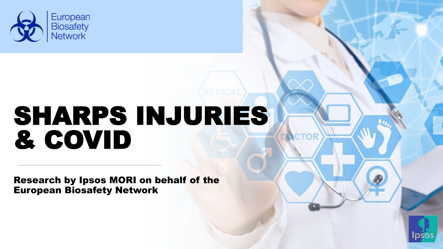

# SHARPS INJURIES & COVID

Research by Ipsos MORI on behalf of the European Biosafety Network



**CTOR**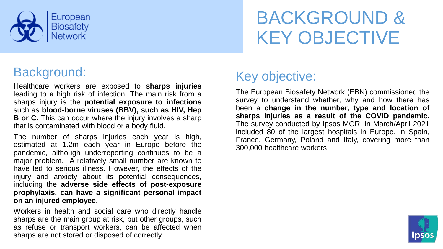

# BACKGROUND & KEY OBJECTIVE

#### Background:

Healthcare workers are exposed to **sharps injuries** leading to a high risk of infection. The main risk from a sharps injury is the **potential exposure to infections** such as **blood-borne viruses (BBV), such as HIV, Hep B or C.** This can occur where the injury involves a sharp that is contaminated with blood or a body fluid.

The number of sharps injuries each year is high, estimated at 1.2m each year in Europe before the pandemic, although underreporting continues to be a major problem. A relatively small number are known to have led to serious illness. However, the effects of the injury and anxiety about its potential consequences, including the **adverse side effects of post-exposure prophylaxis, can have a significant personal impact on an injured employee**.

Workers in health and social care who directly handle sharps are the main group at risk, but other groups, such as refuse or transport workers, can be affected when sharps are not stored or disposed of correctly.

### Key objective:

The European Biosafety Network (EBN) commissioned the survey to understand whether, why and how there has been a **change in the number, type and location of sharps injuries as a result of the COVID pandemic.** The survey conducted by Ipsos MORI in March/April 2021 included 80 of the largest hospitals in Europe, in Spain, France, Germany, Poland and Italy, covering more than 300,000 healthcare workers.

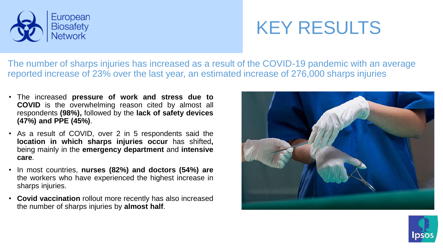

# KEY RESULTS

The number of sharps injuries has increased as a result of the COVID-19 pandemic with an average reported increase of 23% over the last year, an estimated increase of 276,000 sharps injuries

- The increased **pressure of work and stress due to COVID** is the overwhelming reason cited by almost all respondents **(98%),** followed by the **lack of safety devices (47%) and PPE (45%)**.
- As a result of COVID, over 2 in 5 respondents said the **location in which sharps injuries occur** has shifted**,** being mainly in the **emergency department** and **intensive care**.
- In most countries, **nurses (82%) and doctors (54%) are** the workers who have experienced the highest increase in sharps injuries.
- **Covid vaccination** rollout more recently has also increased the number of sharps injuries by **almost half**.



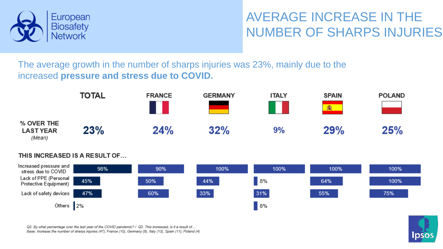

### AVERAGE INCREASE IN THE NUMBER OF SHARPS INJURIES

The average growth in the number of sharps injuries was 23%, mainly due to the increased **pressure and stress due to COVID.**



#### THIS INCREASED IS A RESULT OF...



Q2. By what percentage over the last year of the COVID pandemic? / Q3. This increased, is it a result of... Base: Increase the number of sharps injuries (47), France (10), Germany (9), Italy (13), Spain (11), Poland (4)

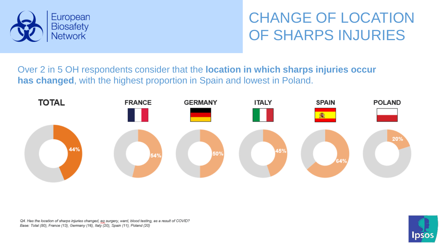

### CHANGE OF LOCATION OF SHARPS INJURIES

Over 2 in 5 OH respondents consider that the **location in which sharps injuries occur has changed**, with the highest proportion in Spain and lowest in Poland.



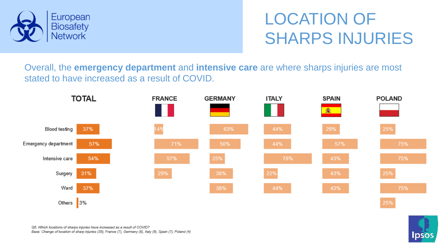

### LOCATION OF SHARPS INJURIES

Overall, the **emergency department** and **intensive care** are where sharps injuries are most stated to have increased as a result of COVID.



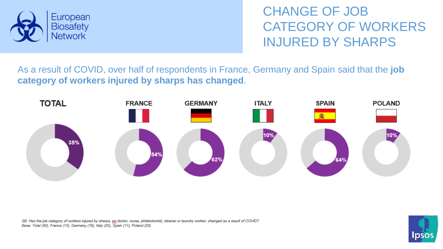

CHANGE OF JOB CATEGORY OF WORKERS INJURED BY SHARPS

As a result of COVID, over half of respondents in France, Germany and Spain said that the **job category of workers injured by sharps has changed**.



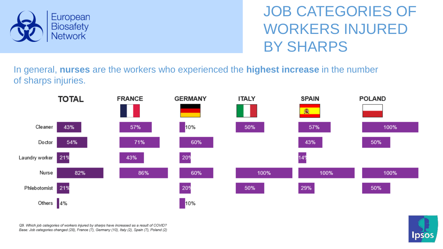

JOB CATEGORIES OF WORKERS INJURED BY SHARPS

In general, **nurses** are the workers who experienced the **highest increase** in the number of sharps injuries.



Q9. Which job categories of workers injured by sharps have increased as a result of COVID? Base: Job categories changed (28), France (7), Germany (10), Italy (2), Spain (7), Poland (2)

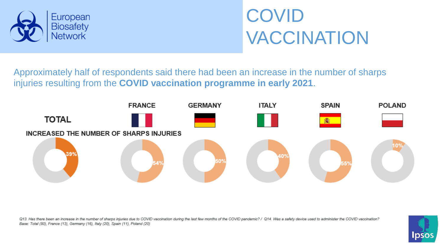

# COVID VACCINATION

Approximately half of respondents said there had been an increase in the number of sharps injuries resulting from the **COVID vaccination programme in early 2021**.



Q13. Has there been an increase in the number of sharps injuries due to COVID vaccination during the last few months of the COVID pandemic? / Q14. Was a safety device used to administer the COVID vaccination? Base: Total (80), France (13), Germany (16), Italy (20), Spain (11), Poland (20)